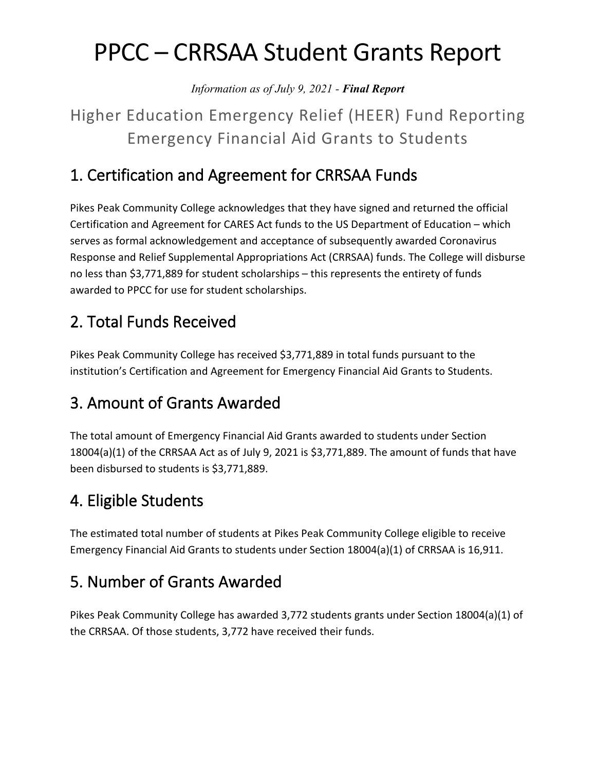# PPCC – CRRSAA Student Grants Report

*Information as of July 9, 2021 - Final Report*

## Higher Education Emergency Relief (HEER) Fund Reporting Emergency Financial Aid Grants to Students

#### 1. Certification and Agreement for CRRSAA Funds

Pikes Peak Community College acknowledges that they have signed and returned the official Certification and Agreement for CARES Act funds to the US Department of Education – which serves as formal acknowledgement and acceptance of subsequently awarded Coronavirus Response and Relief Supplemental Appropriations Act (CRRSAA) funds. The College will disburse no less than \$3,771,889 for student scholarships – this represents the entirety of funds awarded to PPCC for use for student scholarships.

#### 2. Total Funds Received

Pikes Peak Community College has received \$3,771,889 in total funds pursuant to the institution's Certification and Agreement for Emergency Financial Aid Grants to Students.

#### 3. Amount of Grants Awarded

The total amount of Emergency Financial Aid Grants awarded to students under Section 18004(a)(1) of the CRRSAA Act as of July 9, 2021 is \$3,771,889. The amount of funds that have been disbursed to students is \$3,771,889.

#### 4. Eligible Students

The estimated total number of students at Pikes Peak Community College eligible to receive Emergency Financial Aid Grants to students under Section 18004(a)(1) of CRRSAA is 16,911.

#### 5. Number of Grants Awarded

Pikes Peak Community College has awarded 3,772 students grants under Section 18004(a)(1) of the CRRSAA. Of those students, 3,772 have received their funds.